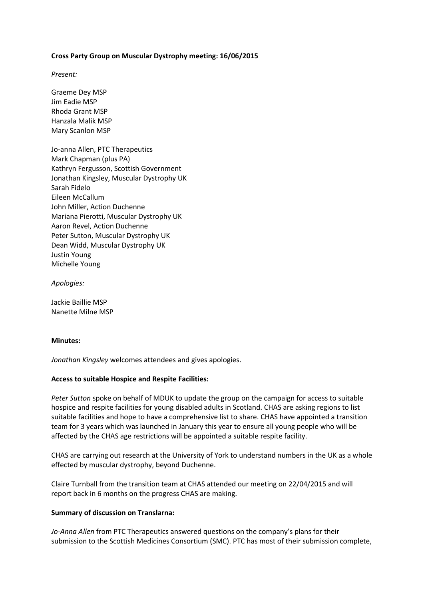### **Cross Party Group on Muscular Dystrophy meeting: 16/06/2015**

*Present:*

Graeme Dey MSP Jim Eadie MSP Rhoda Grant MSP Hanzala Malik MSP Mary Scanlon MSP

Jo-anna Allen, PTC Therapeutics Mark Chapman (plus PA) Kathryn Fergusson, Scottish Government Jonathan Kingsley, Muscular Dystrophy UK Sarah Fidelo Eileen McCallum John Miller, Action Duchenne Mariana Pierotti, Muscular Dystrophy UK Aaron Revel, Action Duchenne Peter Sutton, Muscular Dystrophy UK Dean Widd, Muscular Dystrophy UK Justin Young Michelle Young

*Apologies:* 

Jackie Baillie MSP Nanette Milne MSP

### **Minutes:**

*Jonathan Kingsley* welcomes attendees and gives apologies.

# **Access to suitable Hospice and Respite Facilities:**

*Peter Sutton* spoke on behalf of MDUK to update the group on the campaign for access to suitable hospice and respite facilities for young disabled adults in Scotland. CHAS are asking regions to list suitable facilities and hope to have a comprehensive list to share. CHAS have appointed a transition team for 3 years which was launched in January this year to ensure all young people who will be affected by the CHAS age restrictions will be appointed a suitable respite facility.

CHAS are carrying out research at the University of York to understand numbers in the UK as a whole effected by muscular dystrophy, beyond Duchenne.

Claire Turnball from the transition team at CHAS attended our meeting on 22/04/2015 and will report back in 6 months on the progress CHAS are making.

#### **Summary of discussion on Translarna:**

*Jo-Anna Allen* from PTC Therapeutics answered questions on the company's plans for their submission to the Scottish Medicines Consortium (SMC). PTC has most of their submission complete,